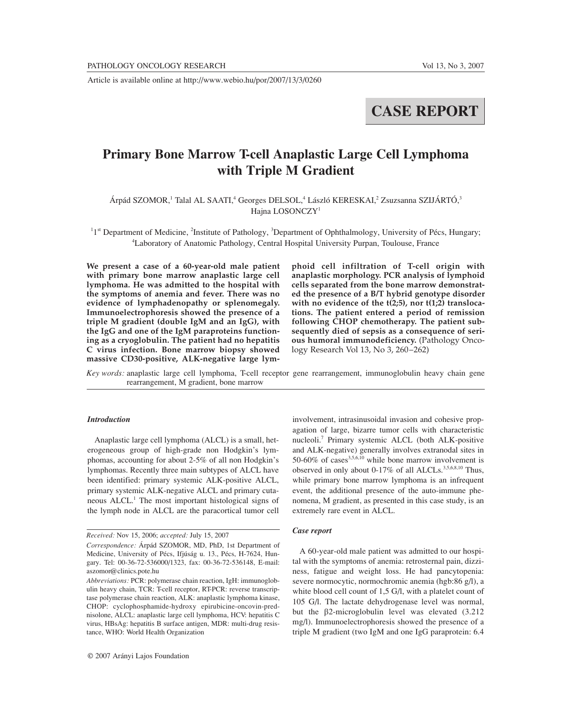Article is available online at http://www.webio.hu/por/2007/13/3/0260

# **CASE REPORT**

## **Primary Bone Marrow T-cell Anaplastic Large Cell Lymphoma with Triple M Gradient**

Árpád SZOMOR,<sup>1</sup> Talal AL SAATI,<sup>4</sup> Georges DELSOL,<sup>4</sup> László KERESKAI,<sup>2</sup> Zsuzsanna SZIJÁRTÓ,<sup>3</sup> Hajna LOSONCZY<sup>1</sup>

<sup>1</sup>1<sup>st</sup> Department of Medicine, <sup>2</sup>Institute of Pathology, <sup>3</sup>Department of Ophthalmology, University of Pécs, Hungary; 4 Laboratory of Anatomic Pathology, Central Hospital University Purpan, Toulouse, France

**We present a case of a 60-year-old male patient with primary bone marrow anaplastic large cell lymphoma. He was admitted to the hospital with the symptoms of anemia and fever. There was no evidence of lymphadenopathy or splenomegaly. Immunoelectrophoresis showed the presence of a triple M gradient (double IgM and an IgG), with the IgG and one of the IgM paraproteins functioning as a cryoglobulin. The patient had no hepatitis C virus infection. Bone marrow biopsy showed massive CD30-positive, ALK-negative large lym-** **phoid cell infiltration of T-cell origin with anaplastic morphology. PCR analysis of lymphoid cells separated from the bone marrow demonstrated the presence of a B/T hybrid genotype disorder with no evidence of the t(2;5), nor t(1;2) translocations. The patient entered a period of remission following CHOP chemotherapy. The patient subsequently died of sepsis as a consequence of serious humoral immunodeficiency.** (Pathology Oncology Research Vol 13, No 3, 260–262)

*Key words:* anaplastic large cell lymphoma, T-cell receptor gene rearrangement, immunoglobulin heavy chain gene rearrangement, M gradient, bone marrow

### *Introduction*

Anaplastic large cell lymphoma (ALCL) is a small, heterogeneous group of high-grade non Hodgkin's lymphomas, accounting for about 2-5% of all non Hodgkin's lymphomas. Recently three main subtypes of ALCL have been identified: primary systemic ALK-positive ALCL, primary systemic ALK-negative ALCL and primary cutaneous ALCL.1 The most important histological signs of the lymph node in ALCL are the paracortical tumor cell

involvement, intrasinusoidal invasion and cohesive propagation of large, bizarre tumor cells with characteristic nucleoli.7 Primary systemic ALCL (both ALK-positive and ALK-negative) generally involves extranodal sites in 50-60% of cases $3,5,6,10$  while bone marrow involvement is observed in only about 0-17% of all ALCLs.3,5,6,8,10 Thus, while primary bone marrow lymphoma is an infrequent event, the additional presence of the auto-immune phenomena, M gradient, as presented in this case study, is an extremely rare event in ALCL.

#### *Case report*

A 60-year-old male patient was admitted to our hospital with the symptoms of anemia: retrosternal pain, dizziness, fatigue and weight loss. He had pancytopenia: severe normocytic, normochromic anemia (hgb:86 g/l), a white blood cell count of 1,5 G/l, with a platelet count of 105 G/l. The lactate dehydrogenase level was normal, but the β2-microglobulin level was elevated (3.212 mg/l). Immunoelectrophoresis showed the presence of a triple M gradient (two IgM and one IgG paraprotein: 6.4

*Received:* Nov 15, 2006; *accepted:* July 15, 2007

*Correspondence:* Árpád SZOMOR, MD, PhD, 1st Department of Medicine, University of Pécs, Ifjúság u. 13., Pécs, H-7624, Hungary. Tel: 00-36-72-536000/1323, fax: 00-36-72-536148, E-mail: aszomor@clinics.pote.hu

*Abbreviations:* PCR: polymerase chain reaction, IgH: immunoglobulin heavy chain, TCR: T-cell receptor, RT-PCR: reverse transcriptase polymerase chain reaction, ALK: anaplastic lymphoma kinase, CHOP: cyclophosphamide-hydroxy epirubicine-oncovin-prednisolone, ALCL: anaplastic large cell lymphoma, HCV: hepatitis C virus, HBsAg: hepatitis B surface antigen, MDR: multi-drug resistance, WHO: World Health Organization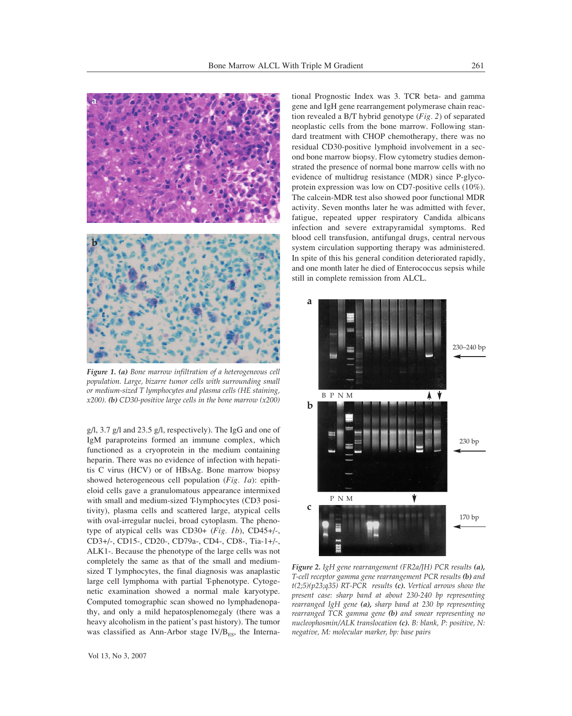

*Figure 1. (a) Bone marrow infiltration of a heterogeneous cell population. Large, bizarre tumor cells with surrounding small or medium-sized T lymphocytes and plasma cells (HE staining, x200). (b) CD30-positive large cells in the bone marrow (x200)* 

g/l, 3.7 g/l and 23.5 g/l, respectively). The IgG and one of IgM paraproteins formed an immune complex, which functioned as a cryoprotein in the medium containing heparin. There was no evidence of infection with hepatitis C virus (HCV) or of HBsAg. Bone marrow biopsy showed heterogeneous cell population (*Fig. 1a*): epitheloid cells gave a granulomatous appearance intermixed with small and medium-sized T-lymphocytes (CD3 positivity), plasma cells and scattered large, atypical cells with oval-irregular nuclei, broad cytoplasm. The phenotype of atypical cells was CD30+ (*Fig. 1b*), CD45+/-, CD3+/-, CD15-, CD20-, CD79a-, CD4-, CD8-, Tia-1+/-, ALK1-. Because the phenotype of the large cells was not completely the same as that of the small and mediumsized T lymphocytes, the final diagnosis was anaplastic large cell lymphoma with partial T-phenotype. Cytogenetic examination showed a normal male karyotype. Computed tomographic scan showed no lymphadenopathy, and only a mild hepatosplenomegaly (there was a heavy alcoholism in the patient's past history). The tumor was classified as Ann-Arbor stage  $IV/B_{ES}$ , the International Prognostic Index was 3. TCR beta- and gamma gene and IgH gene rearrangement polymerase chain reaction revealed a B/T hybrid genotype (*Fig. 2*) of separated neoplastic cells from the bone marrow. Following standard treatment with CHOP chemotherapy, there was no residual CD30-positive lymphoid involvement in a second bone marrow biopsy. Flow cytometry studies demonstrated the presence of normal bone marrow cells with no evidence of multidrug resistance (MDR) since P-glycoprotein expression was low on CD7-positive cells (10%). The calcein-MDR test also showed poor functional MDR activity. Seven months later he was admitted with fever, fatigue, repeated upper respiratory Candida albicans infection and severe extrapyramidal symptoms. Red blood cell transfusion, antifungal drugs, central nervous system circulation supporting therapy was administered. In spite of this his general condition deteriorated rapidly, and one month later he died of Enterococcus sepsis while still in complete remission from ALCL.



*Figure 2. IgH gene rearrangement (FR2a/JH) PCR results (a), T-cell receptor gamma gene rearrangement PCR results (b) and t(2;5)(p23;q35) RT-PCR results (c). Vertical arrows show the present case: sharp band at about 230-240 bp representing rearranged IgH gene (a), sharp band at 230 bp representing rearranged TCR gamma gene (b) and smear representing no nucleophosmin/ALK translocation (c). B: blank, P: positive, N: negative, M: molecular marker, bp: base pairs*